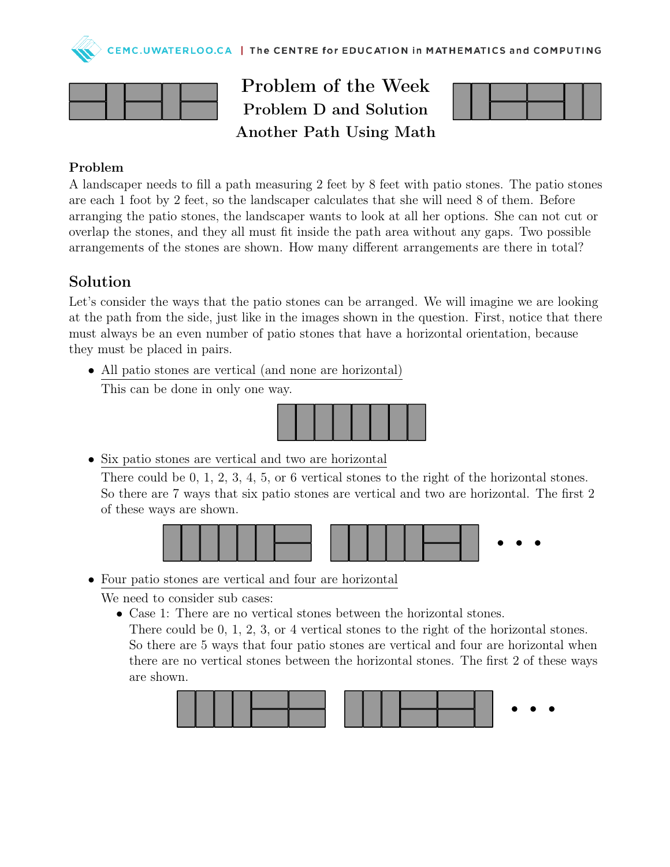



Problem of the Week Problem D and Solution Another Path Using Math



## Problem

A landscaper needs to fill a path measuring 2 feet by 8 feet with patio stones. The patio stones are each 1 foot by 2 feet, so the landscaper calculates that she will need 8 of them. Before arranging the patio stones, the landscaper wants to look at all her options. She can not cut or overlap the stones, and they all must fit inside the path area without any gaps. Two possible arrangements of the stones are shown. How many different arrangements are there in total?

## Solution

Let's consider the ways that the patio stones can be arranged. We will imagine we are looking at the path from the side, just like in the images shown in the question. First, notice that there must always be an even number of patio stones that have a horizontal orientation, because they must be placed in pairs.

• All patio stones are vertical (and none are horizontal)

This can be done in only one way.



• Six patio stones are vertical and two are horizontal

There could be 0, 1, 2, 3, 4, 5, or 6 vertical stones to the right of the horizontal stones. So there are 7 ways that six patio stones are vertical and two are horizontal. The first 2 of these ways are shown.



• Four patio stones are vertical and four are horizontal

We need to consider sub cases:

• Case 1: There are no vertical stones between the horizontal stones.

There could be 0, 1, 2, 3, or 4 vertical stones to the right of the horizontal stones. So there are 5 ways that four patio stones are vertical and four are horizontal when there are no vertical stones between the horizontal stones. The first 2 of these ways are shown.

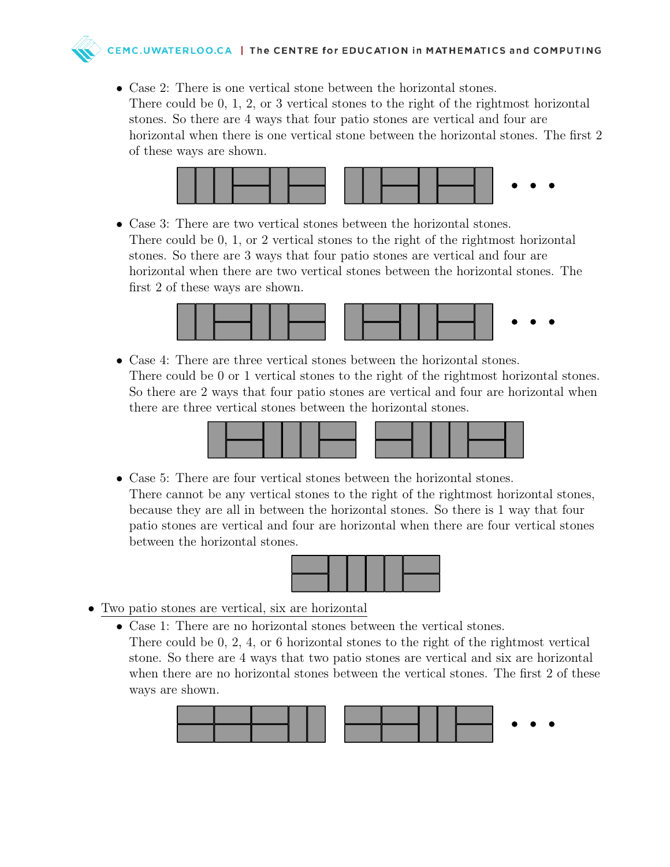- - Case 2: There is one vertical stone between the horizontal stones. There could be 0, 1, 2, or 3 vertical stones to the right of the rightmost horizontal stones. So there are 4 ways that four patio stones are vertical and four are horizontal when there is one vertical stone between the horizontal stones. The first 2 of these ways are shown.



• Case 3: There are two vertical stones between the horizontal stones. There could be 0, 1, or 2 vertical stones to the right of the rightmost horizontal stones. So there are 3 ways that four patio stones are vertical and four are horizontal when there are two vertical stones between the horizontal stones. The first 2 of these ways are shown.



• Case 4: There are three vertical stones between the horizontal stones. There could be 0 or 1 vertical stones to the right of the rightmost horizontal stones. So there are 2 ways that four patio stones are vertical and four are horizontal when there are three vertical stones between the horizontal stones.



• Case 5: There are four vertical stones between the horizontal stones. There cannot be any vertical stones to the right of the rightmost horizontal stones, because they are all in between the horizontal stones. So there is 1 way that four patio stones are vertical and four are horizontal when there are four vertical stones between the horizontal stones.



- Two patio stones are vertical, six are horizontal
	- Case 1: There are no horizontal stones between the vertical stones. There could be 0, 2, 4, or 6 horizontal stones to the right of the rightmost vertical stone. So there are 4 ways that two patio stones are vertical and six are horizontal when there are no horizontal stones between the vertical stones. The first 2 of these ways are shown.